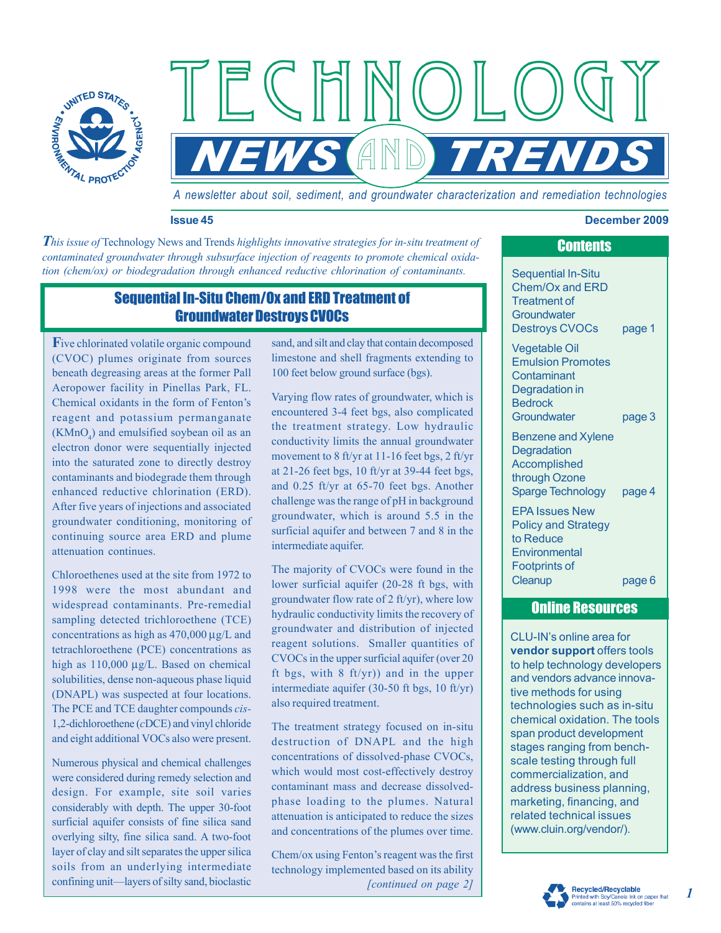

*A newsletter about soil, sediment, and groundwater characterization and remediation technologies* 

*EWS AND TREND* 

#### **Issue 45 December 2009**

*This issue of Technology News and Trends highlights innovative strategies for in-situ treatment of contaminated groundwater through subsurface injection of reagents to promote chemical oxidation (chem/ox) or biodegradation through enhanced reductive chlorination of contaminants.* Sequential In-Situ

### Sequential In-Situ Chem/Ox and ERD Treatment of Groundwater Destroys CVOCs

**F**ive chlorinated volatile organic compound (CVOC) plumes originate from sources beneath degreasing areas at the former Pall Aeropower facility in Pinellas Park, FL. Chemical oxidants in the form of Fenton's reagent and potassium permanganate  $(KMnO<sub>4</sub>)$  and emulsified soybean oil as an electron donor were sequentially injected into the saturated zone to directly destroy contaminants and biodegrade them through enhanced reductive chlorination (ERD). After five years of injections and associated groundwater conditioning, monitoring of continuing source area ERD and plume attenuation continues.

Chloroethenes used at the site from 1972 to 1998 were the most abundant and widespread contaminants. Pre-remedial sampling detected trichloroethene (TCE) concentrations as high as 470,000 μg/L and tetrachloroethene (PCE) concentrations as high as 110,000 μg/L. Based on chemical solubilities, dense non-aqueous phase liquid (DNAPL) was suspected at four locations. The PCE and TCE daughter compounds *cis-*1,2-dichloroethene (*c*DCE) and vinyl chloride and eight additional VOCs also were present.

Numerous physical and chemical challenges were considered during remedy selection and design. For example, site soil varies considerably with depth. The upper 30-foot surficial aquifer consists of fine silica sand overlying silty, fine silica sand. A two-foot layer of clay and silt separates the upper silica soils from an underlying intermediate confining unit—layers of silty sand, bioclastic

sand, and silt and clay that contain decomposed limestone and shell fragments extending to 100 feet below ground surface (bgs).

ECHNOL

Varying flow rates of groundwater, which is encountered 3-4 feet bgs, also complicated the treatment strategy. Low hydraulic conductivity limits the annual groundwater movement to 8 ft/yr at 11-16 feet bgs, 2 ft/yr at 21-26 feet bgs, 10 ft/yr at 39-44 feet bgs, and 0.25 ft/yr at 65-70 feet bgs. Another challenge was the range of pH in background groundwater, which is around 5.5 in the surficial aquifer and between 7 and 8 in the intermediate aquifer.

The majority of CVOCs were found in the lower surficial aquifer (20-28 ft bgs, with groundwater flow rate of 2 ft/yr), where low hydraulic conductivity limits the recovery of groundwater and distribution of injected reagent solutions. Smaller quantities of CVOCs in the upper surficial aquifer (over 20 ft bgs, with  $8 \text{ ft/yr}$ ) and in the upper intermediate aquifer (30-50 ft bgs, 10 ft/yr) also required treatment.

The treatment strategy focused on in-situ destruction of DNAPL and the high concentrations of dissolved-phase CVOCs, which would most cost-effectively destroy contaminant mass and decrease dissolvedphase loading to the plumes. Natural attenuation is anticipated to reduce the sizes and concentrations of the plumes over time.

*[continued on page 2]*  Chem/ox using Fenton's reagent was the first technology implemented based on its ability

# Chem/Ox and ERD

**Contents** 

Treatment of **Groundwater** Destroys CVOCs page 1

Vegetable Oil Emulsion Promotes **Contaminant** Degradation in **Bedrock** Groundwater page 3

Benzene and Xylene **Degradation** Accomplished through Ozone Sparge Technology page 4

EPA Issues New Policy and Strategy to Reduce **Environmental** Footprints of Cleanup page 6

## Online Resources

CLU-IN's online area for **vendor support** offers tools to help technology developers and vendors advance innovative methods for using technologies such as in-situ chemical oxidation. The tools span product development stages ranging from benchscale testing through full commercialization, and address business planning, marketing, financing, and related technical issues ([www.cluin.org/vendor/\).](http://www.cluin.org/vendor/) 



*1*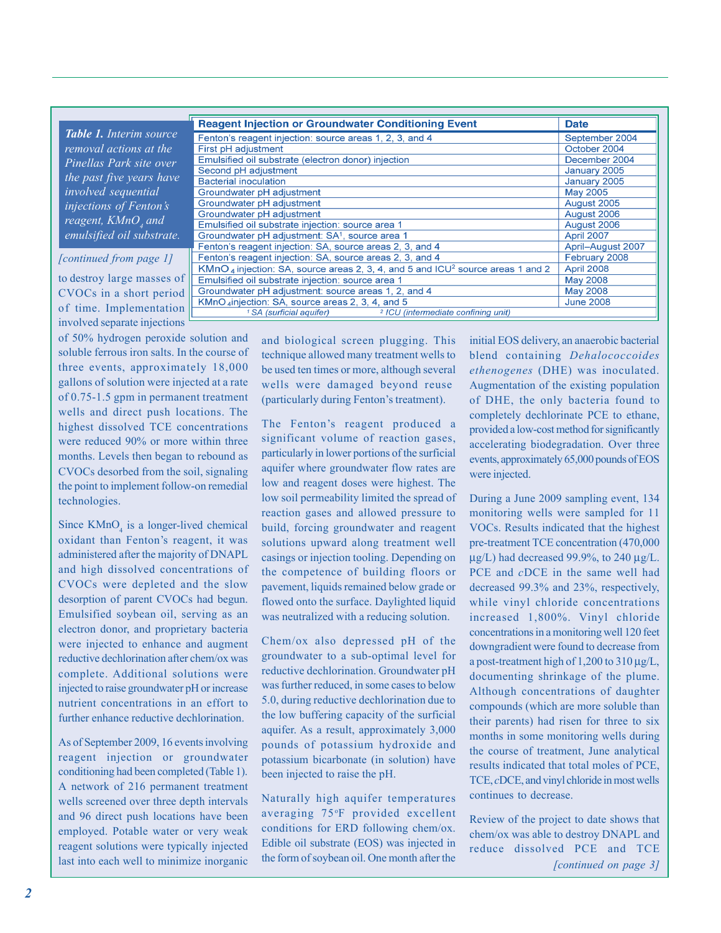|                                     | <b>Reagent Injection or Groundwater Conditioning Event</b>                                             | <b>Date</b>              |
|-------------------------------------|--------------------------------------------------------------------------------------------------------|--------------------------|
| <b>Table 1.</b> Interim source      | Fenton's reagent injection: source areas 1, 2, 3, and 4                                                | September 2004           |
| removal actions at the              | First pH adjustment                                                                                    | October 2004             |
| Pinellas Park site over             | Emulsified oil substrate (electron donor) injection                                                    | December 2004            |
|                                     | Second pH adjustment                                                                                   | January 2005             |
| the past five years have            | <b>Bacterial inoculation</b>                                                                           | January 2005             |
| <i>involved sequential</i>          | Groundwater pH adjustment                                                                              | May 2005                 |
| injections of Fenton's              | Groundwater pH adjustment                                                                              | August 2005              |
|                                     | Groundwater pH adjustment                                                                              | August 2006              |
| reagent, $K M n \overline{O}_4$ and | Emulsified oil substrate injection: source area 1                                                      | August 2006              |
| emulsified oil substrate.           | Groundwater pH adjustment: SA <sup>1</sup> , source area 1                                             | April 2007               |
|                                     | Fenton's reagent injection: SA, source areas 2, 3, and 4                                               | <b>April-August 2007</b> |
| [continued from page 1]             | Fenton's reagent injection: SA, source areas 2, 3, and 4                                               | February 2008            |
|                                     | KMnO <sub>4</sub> injection: SA, source areas 2, 3, 4, and 5 and ICU <sup>2</sup> source areas 1 and 2 | April 2008               |
| to destroy large masses of          | Emulsified oil substrate injection: source area 1                                                      | May 2008                 |
| CVOCs in a short period             | Groundwater pH adjustment: source areas 1, 2, and 4                                                    | May 2008                 |
|                                     | KMnO <sub>4</sub> injection: SA, source areas 2, 3, 4, and 5                                           | <b>June 2008</b>         |
| of time. Implementation             | <sup>2</sup> ICU (intermediate confining unit)<br><sup>1</sup> SA (surficial aquifer)                  |                          |

involved separate injections of 50% hydrogen peroxide solution and soluble ferrous iron salts. In the course of three events, approximately 18,000 gallons of solution were injected at a rate of 0.75-1.5 gpm in permanent treatment wells and direct push locations. The highest dissolved TCE concentrations were reduced 90% or more within three months. Levels then began to rebound as CVOCs desorbed from the soil, signaling the point to implement follow-on remedial technologies.

Since  $KMnO<sub>4</sub>$  is a longer-lived chemical oxidant than Fenton's reagent, it was administered after the majority of DNAPL and high dissolved concentrations of CVOCs were depleted and the slow desorption of parent CVOCs had begun. Emulsified soybean oil, serving as an electron donor, and proprietary bacteria were injected to enhance and augment reductive dechlorination after chem/ox was complete. Additional solutions were injected to raise groundwater pH or increase nutrient concentrations in an effort to further enhance reductive dechlorination.

As of September 2009, 16 events involving reagent injection or groundwater conditioning had been completed (Table 1). A network of 216 permanent treatment wells screened over three depth intervals and 96 direct push locations have been employed. Potable water or very weak reagent solutions were typically injected last into each well to minimize inorganic

and biological screen plugging. This technique allowed many treatment wells to be used ten times or more, although several wells were damaged beyond reuse (particularly during Fenton's treatment).

The Fenton's reagent produced a significant volume of reaction gases, particularly in lower portions of the surficial aquifer where groundwater flow rates are low and reagent doses were highest. The low soil permeability limited the spread of reaction gases and allowed pressure to build, forcing groundwater and reagent solutions upward along treatment well casings or injection tooling. Depending on the competence of building floors or pavement, liquids remained below grade or flowed onto the surface. Daylighted liquid was neutralized with a reducing solution.

Chem/ox also depressed pH of the groundwater to a sub-optimal level for reductive dechlorination. Groundwater pH was further reduced, in some cases to below 5.0, during reductive dechlorination due to the low buffering capacity of the surficial aquifer. As a result, approximately 3,000 pounds of potassium hydroxide and potassium bicarbonate (in solution) have been injected to raise the pH.

Naturally high aquifer temperatures averaging 75°F provided excellent conditions for ERD following chem/ox. Edible oil substrate (EOS) was injected in the form of soybean oil. One month after the

initial EOS delivery, an anaerobic bacterial blend containing *Dehalococcoides ethenogenes* (DHE) was inoculated. Augmentation of the existing population of DHE, the only bacteria found to completely dechlorinate PCE to ethane, provided a low-cost method for significantly accelerating biodegradation. Over three events, approximately 65,000 pounds of EOS were injected.

During a June 2009 sampling event, 134 monitoring wells were sampled for 11 VOCs. Results indicated that the highest pre-treatment TCE concentration (470,000 μg/L) had decreased 99.9%, to 240 μg/L. PCE and *c*DCE in the same well had decreased 99.3% and 23%, respectively, while vinyl chloride concentrations increased 1,800%. Vinyl chloride concentrations in a monitoring well 120 feet downgradient were found to decrease from a post-treatment high of 1,200 to 310 μg/L, documenting shrinkage of the plume. Although concentrations of daughter compounds (which are more soluble than their parents) had risen for three to six months in some monitoring wells during the course of treatment, June analytical results indicated that total moles of PCE, TCE, *c*DCE, and vinyl chloride in most wells continues to decrease.

Review of the project to date shows that chem/ox was able to destroy DNAPL and reduce dissolved PCE and TCE *[continued on page 3]*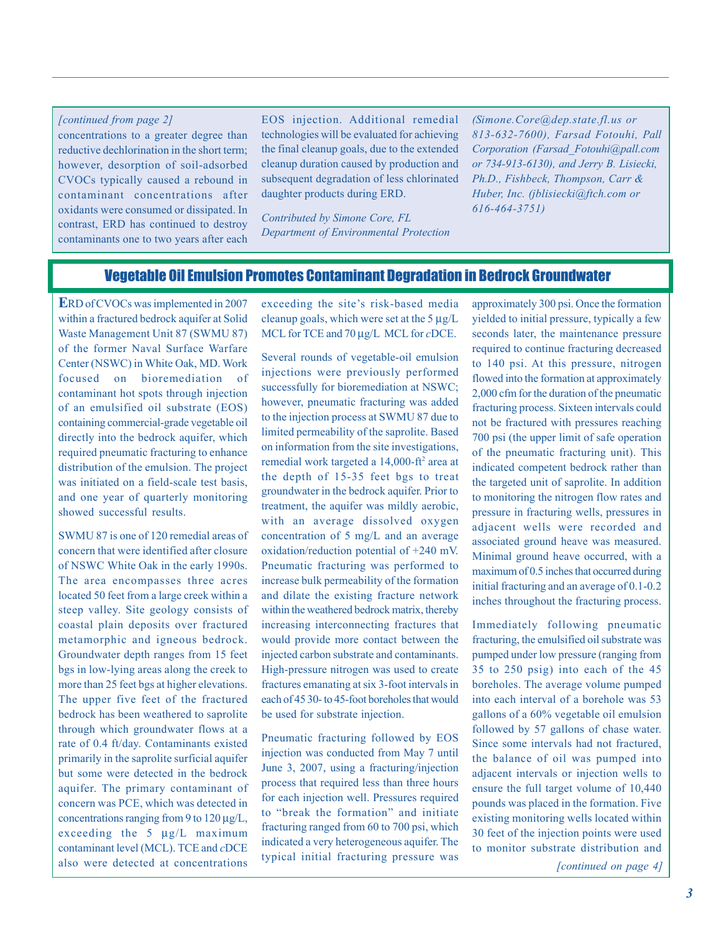### concentrations to a greater degree than reductive dechlorination in the short term; however, desorption of soil-adsorbed CVOCs typically caused a rebound in contaminant concentrations after oxidants were consumed or dissipated. In contrast, ERD has continued to destroy

contaminants one to two years after each

EOS injection. Additional remedial *[continued from page 2] [\(Simone.Core@dep.state.fl.us or](mailto:Simone.Core@dep.state.fl.usor813-632-7600)*  technologies will be evaluated for achieving the final cleanup goals, due to the extended cleanup duration caused by production and subsequent degradation of less chlorinated daughter products during ERD.

> *Contributed by Simone Core, FL Department of Environmental Protection*

*[813-632-7600\), F](mailto:Simone.Core@dep.state.fl.usor813-632-7600)arsad Fotouhi, Pall Corporation ([Farsad\\_Fotouhi@pall.com](mailto:Farsad_Fotouhi@pall.comor734-913-6130)  [or 734-913-6130\), an](mailto:Farsad_Fotouhi@pall.comor734-913-6130)d Jerry B. Lisiecki, Ph.D., Fishbeck, Thompson, Carr & Huber, Inc. [\(jblisiecki@ftch.com or](mailto:jblisiecki@ftch.comor616-464-3751)  [616-464-3751\)](mailto:jblisiecki@ftch.comor616-464-3751)* 

#### Vegetable Oil Emulsion Promotes Contaminant Degradation in Bedrock Groundwater

 **E**RD of CVOCs was implemented in 2007 within a fractured bedrock aquifer at Solid Waste Management Unit 87 (SWMU 87) of the former Naval Surface Warfare Center (NSWC) in White Oak, MD. Work focused on bioremediation of contaminant hot spots through injection of an emulsified oil substrate (EOS) containing commercial-grade vegetable oil directly into the bedrock aquifer, which required pneumatic fracturing to enhance distribution of the emulsion. The project was initiated on a field-scale test basis, and one year of quarterly monitoring showed successful results.

SWMU 87 is one of 120 remedial areas of concern that were identified after closure of NSWC White Oak in the early 1990s. The area encompasses three acres located 50 feet from a large creek within a steep valley. Site geology consists of coastal plain deposits over fractured metamorphic and igneous bedrock. Groundwater depth ranges from 15 feet bgs in low-lying areas along the creek to more than 25 feet bgs at higher elevations. The upper five feet of the fractured bedrock has been weathered to saprolite through which groundwater flows at a rate of 0.4 ft/day. Contaminants existed primarily in the saprolite surficial aquifer but some were detected in the bedrock aquifer. The primary contaminant of concern was PCE, which was detected in concentrations ranging from 9 to 120 μg/L, exceeding the 5 μg/L maximum contaminant level (MCL). TCE and *c*DCE also were detected at concentrations *[continued on page 4]* 

exceeding the site's risk-based media cleanup goals, which were set at the  $5 \mu g/L$ MCL for TCE and 70 μg/L MCL for *c*DCE.

Several rounds of vegetable-oil emulsion injections were previously performed successfully for bioremediation at NSWC; however, pneumatic fracturing was added to the injection process at SWMU 87 due to limited permeability of the saprolite. Based on information from the site investigations, remedial work targeted a 14,000-ft<sup>2</sup> area at the depth of 15-35 feet bgs to treat groundwater in the bedrock aquifer. Prior to treatment, the aquifer was mildly aerobic, with an average dissolved oxygen concentration of 5 mg/L and an average oxidation/reduction potential of +240 mV. Pneumatic fracturing was performed to increase bulk permeability of the formation and dilate the existing fracture network within the weathered bedrock matrix, thereby increasing interconnecting fractures that would provide more contact between the injected carbon substrate and contaminants. High-pressure nitrogen was used to create fractures emanating at six 3-foot intervals in each of 45 30- to 45-foot boreholes that would be used for substrate injection.

Pneumatic fracturing followed by EOS injection was conducted from May 7 until June 3, 2007, using a fracturing/injection process that required less than three hours for each injection well. Pressures required to "break the formation" and initiate fracturing ranged from 60 to 700 psi, which indicated a very heterogeneous aquifer. The typical initial fracturing pressure was

approximately 300 psi. Once the formation yielded to initial pressure, typically a few seconds later, the maintenance pressure required to continue fracturing decreased to 140 psi. At this pressure, nitrogen flowed into the formation at approximately 2,000 cfm for the duration of the pneumatic fracturing process. Sixteen intervals could not be fractured with pressures reaching 700 psi (the upper limit of safe operation of the pneumatic fracturing unit). This indicated competent bedrock rather than the targeted unit of saprolite. In addition to monitoring the nitrogen flow rates and pressure in fracturing wells, pressures in adjacent wells were recorded and associated ground heave was measured. Minimal ground heave occurred, with a maximum of 0.5 inches that occurred during initial fracturing and an average of 0.1-0.2 inches throughout the fracturing process.

Immediately following pneumatic fracturing, the emulsified oil substrate was pumped under low pressure (ranging from 35 to 250 psig) into each of the 45 boreholes. The average volume pumped into each interval of a borehole was 53 gallons of a 60% vegetable oil emulsion followed by 57 gallons of chase water. Since some intervals had not fractured, the balance of oil was pumped into adjacent intervals or injection wells to ensure the full target volume of 10,440 pounds was placed in the formation. Five existing monitoring wells located within 30 feet of the injection points were used to monitor substrate distribution and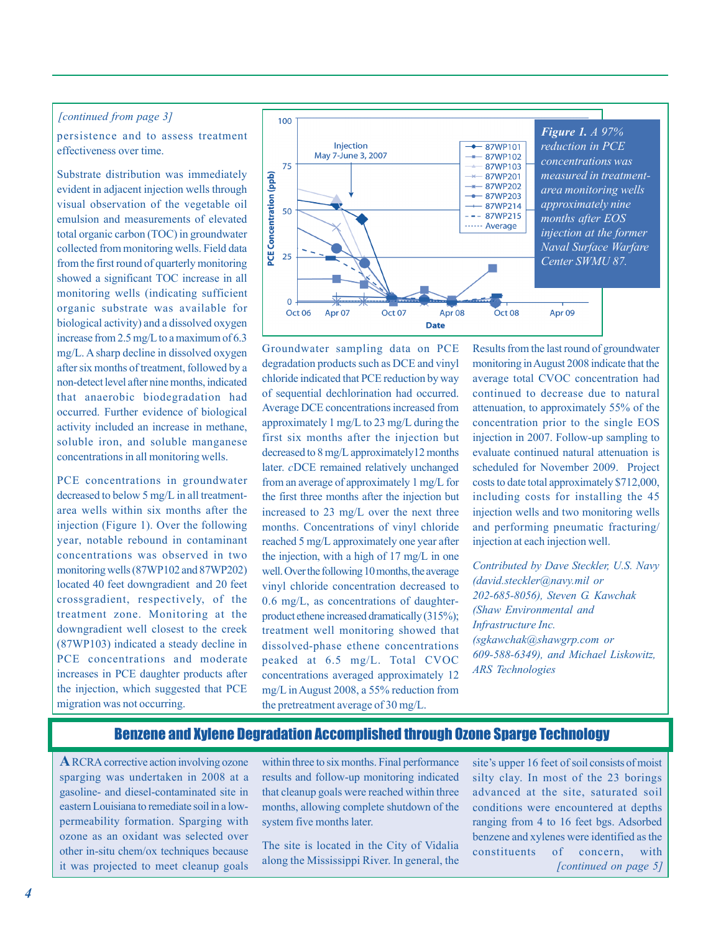#### *[continued from page 3]*

 persistence and to assess treatment effectiveness over time.

Substrate distribution was immediately evident in adjacent injection wells through visual observation of the vegetable oil emulsion and measurements of elevated total organic carbon (TOC) in groundwater collected from monitoring wells. Field data from the first round of quarterly monitoring showed a significant TOC increase in all monitoring wells (indicating sufficient organic substrate was available for biological activity) and a dissolved oxygen increase from 2.5 mg/L to a maximum of 6.3 mg/L. A sharp decline in dissolved oxygen after six months of treatment, followed by a non-detect level after nine months, indicated that anaerobic biodegradation had occurred. Further evidence of biological activity included an increase in methane, soluble iron, and soluble manganese concentrations in all monitoring wells.

PCE concentrations in groundwater decreased to below 5 mg/L in all treatmentarea wells within six months after the injection (Figure 1). Over the following year, notable rebound in contaminant concentrations was observed in two monitoring wells (87WP102 and 87WP202) located 40 feet downgradient and 20 feet crossgradient, respectively, of the treatment zone. Monitoring at the downgradient well closest to the creek (87WP103) indicated a steady decline in PCE concentrations and moderate increases in PCE daughter products after the injection, which suggested that PCE migration was not occurring.



Groundwater sampling data on PCE degradation products such as DCE and vinyl chloride indicated that PCE reduction by way of sequential dechlorination had occurred. Average DCE concentrations increased from approximately 1 mg/L to 23 mg/L during the first six months after the injection but decreased to 8 mg/L approximately12 months later. *c*DCE remained relatively unchanged from an average of approximately 1 mg/L for the first three months after the injection but increased to 23 mg/L over the next three months. Concentrations of vinyl chloride reached 5 mg/L approximately one year after the injection, with a high of 17 mg/L in one well. Over the following 10 months, the average vinyl chloride concentration decreased to 0.6 mg/L, as concentrations of daughterproduct ethene increased dramatically (315%); treatment well monitoring showed that dissolved-phase ethene concentrations peaked at 6.5 mg/L. Total CVOC concentrations averaged approximately 12 mg/L in August 2008, a 55% reduction from the pretreatment average of 30 mg/L.

Results from the last round of groundwater monitoring in August 2008 indicate that the average total CVOC concentration had continued to decrease due to natural attenuation, to approximately 55% of the concentration prior to the single EOS injection in 2007. Follow-up sampling to evaluate continued natural attenuation is scheduled for November 2009. Project costs to date total approximately \$712,000, including costs for installing the 45 injection wells and two monitoring wells and performing pneumatic fracturing/ injection at each injection well.

*Contributed by Dave Steckler, U.S. Navy (david.steckler@navy.mil or 202-685-8056), Steven G. Kawchak (Shaw Environmental and Infrastructure Inc. (sgkawchak@shawgrp.com or 609-588-6349), and Michael Liskowitz, ARS Technologies* 

#### Benzene and Xylene Degradation Accomplished through Ozone Sparge Technology

**A** RCRA corrective action involving ozone sparging was undertaken in 2008 at a gasoline- and diesel-contaminated site in eastern Louisiana to remediate soil in a lowpermeability formation. Sparging with ozone as an oxidant was selected over other in-situ chem/ox techniques because it was projected to meet cleanup goals within three to six months. Final performance results and follow-up monitoring indicated that cleanup goals were reached within three months, allowing complete shutdown of the system five months later.

The site is located in the City of Vidalia along the Mississippi River. In general, the site's upper 16 feet of soil consists of moist silty clay. In most of the 23 borings advanced at the site, saturated soil conditions were encountered at depths ranging from 4 to 16 feet bgs. Adsorbed benzene and xylenes were identified as the constituents of concern, with *[continued on page 5]*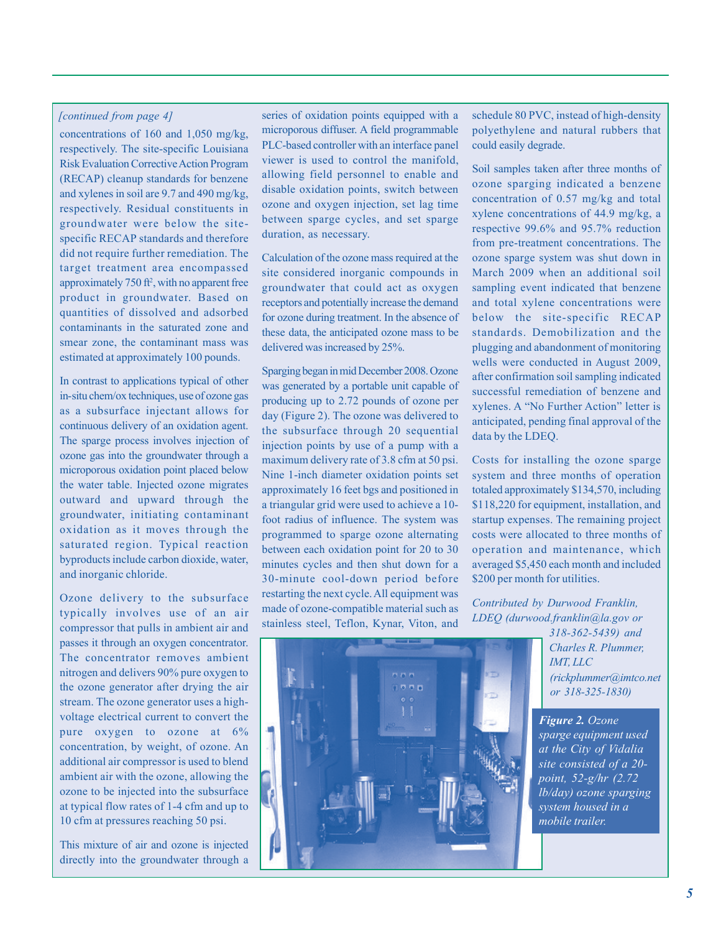concentrations of 160 and 1,050 mg/kg, respectively. The site-specific Louisiana Risk Evaluation Corrective Action Program (RECAP) cleanup standards for benzene and xylenes in soil are 9.7 and 490 mg/kg, respectively. Residual constituents in groundwater were below the sitespecific RECAP standards and therefore did not require further remediation. The target treatment area encompassed approximately  $750$  ft<sup>2</sup>, with no apparent free product in groundwater. Based on quantities of dissolved and adsorbed contaminants in the saturated zone and smear zone, the contaminant mass was estimated at approximately 100 pounds.

In contrast to applications typical of other in-situ chem/ox techniques, use of ozone gas as a subsurface injectant allows for continuous delivery of an oxidation agent. The sparge process involves injection of ozone gas into the groundwater through a microporous oxidation point placed below the water table. Injected ozone migrates outward and upward through the groundwater, initiating contaminant oxidation as it moves through the saturated region. Typical reaction byproducts include carbon dioxide, water, and inorganic chloride.

Ozone delivery to the subsurface typically involves use of an air compressor that pulls in ambient air and passes it through an oxygen concentrator. The concentrator removes ambient nitrogen and delivers 90% pure oxygen to the ozone generator after drying the air stream. The ozone generator uses a highvoltage electrical current to convert the pure oxygen to ozone at 6% concentration, by weight, of ozone. An additional air compressor is used to blend ambient air with the ozone, allowing the ozone to be injected into the subsurface at typical flow rates of 1-4 cfm and up to 10 cfm at pressures reaching 50 psi.

This mixture of air and ozone is injected directly into the groundwater through a

*[continued from page 4]* series of oxidation points equipped with a microporous diffuser. A field programmable PLC-based controller with an interface panel viewer is used to control the manifold, allowing field personnel to enable and disable oxidation points, switch between ozone and oxygen injection, set lag time between sparge cycles, and set sparge duration, as necessary.

> Calculation of the ozone mass required at the site considered inorganic compounds in groundwater that could act as oxygen receptors and potentially increase the demand for ozone during treatment. In the absence of these data, the anticipated ozone mass to be delivered was increased by 25%.

> Sparging began in mid December 2008. Ozone was generated by a portable unit capable of producing up to 2.72 pounds of ozone per day (Figure 2). The ozone was delivered to the subsurface through 20 sequential injection points by use of a pump with a maximum delivery rate of 3.8 cfm at 50 psi. Nine 1-inch diameter oxidation points set approximately 16 feet bgs and positioned in a triangular grid were used to achieve a 10 foot radius of influence. The system was programmed to sparge ozone alternating between each oxidation point for 20 to 30 minutes cycles and then shut down for a 30-minute cool-down period before restarting the next cycle. All equipment was made of ozone-compatible material such as stainless steel, Teflon, Kynar, Viton, and

schedule 80 PVC, instead of high-density polyethylene and natural rubbers that could easily degrade.

Soil samples taken after three months of ozone sparging indicated a benzene concentration of 0.57 mg/kg and total xylene concentrations of 44.9 mg/kg, a respective 99.6% and 95.7% reduction from pre-treatment concentrations. The ozone sparge system was shut down in March 2009 when an additional soil sampling event indicated that benzene and total xylene concentrations were below the site-specific RECAP standards. Demobilization and the plugging and abandonment of monitoring wells were conducted in August 2009, after confirmation soil sampling indicated successful remediation of benzene and xylenes. A "No Further Action" letter is anticipated, pending final approval of the data by the LDEQ.

Costs for installing the ozone sparge system and three months of operation totaled approximately \$134,570, including \$118,220 for equipment, installation, and startup expenses. The remaining project costs were allocated to three months of operation and maintenance, which averaged \$5,450 each month and included \$200 per month for utilities.

*Contributed by Durwood Franklin, LDEQ ([durwood.franklin@la.gov or](mailto:durwood.franklin@la.govor318-362-5439)* 

> *[318-362-5439\) an](mailto:durwood.franklin@la.govor318-362-5439)d Charles R. Plummer, IMT, LLC [\(rickplummer@imtco.net](mailto:rickplummer@imtco.netor318-325-1830)  [or 318-325-1830\)](mailto:rickplummer@imtco.netor318-325-1830)*

*Figure 2. Ozone sparge equipment used at the City of Vidalia site consisted of a 20 point, 52-g/hr (2.72 lb/day) ozone sparging system housed in a mobile trailer.*